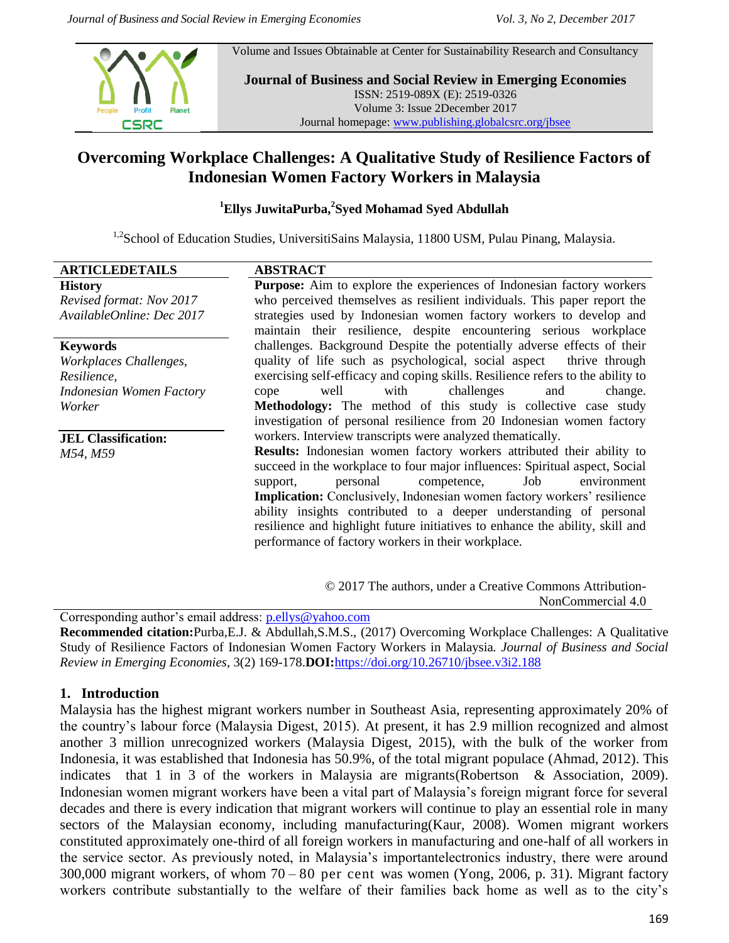Volume and Issues Obtainable at Center for Sustainability Research and Consultancy



**Journal of Business and Social Review in Emerging Economies** ISSN: 2519-089X (E): 2519-0326 Volume 3: Issue 2December 2017 Journal homepage: [www.publishing.globalcsrc.org/jbsee](http://www.publishing.globalcsrc.org/jbsee)

# **Overcoming Workplace Challenges: A Qualitative Study of Resilience Factors of Indonesian Women Factory Workers in Malaysia**

#### **<sup>1</sup>Ellys JuwitaPurba,<sup>2</sup> Syed Mohamad Syed Abdullah**

<sup>1,2</sup>School of Education Studies, UniversitiSains Malaysia, 11800 USM, Pulau Pinang, Malaysia.

| <b>ARTICLEDETAILS</b>      | <b>ABSTRACT</b>                                                                 |  |  |  |  |  |
|----------------------------|---------------------------------------------------------------------------------|--|--|--|--|--|
| <b>History</b>             | <b>Purpose:</b> Aim to explore the experiences of Indonesian factory workers    |  |  |  |  |  |
| Revised format: Nov 2017   | who perceived themselves as resilient individuals. This paper report the        |  |  |  |  |  |
| AvailableOnline: Dec 2017  | strategies used by Indonesian women factory workers to develop and              |  |  |  |  |  |
|                            | maintain their resilience, despite encountering serious workplace               |  |  |  |  |  |
| <b>Keywords</b>            | challenges. Background Despite the potentially adverse effects of their         |  |  |  |  |  |
| Workplaces Challenges,     | quality of life such as psychological, social aspect thrive through             |  |  |  |  |  |
| Resilience,                | exercising self-efficacy and coping skills. Resilience refers to the ability to |  |  |  |  |  |
| Indonesian Women Factory   | with<br>challenges<br>well<br>and<br>change.<br>cope                            |  |  |  |  |  |
| Worker                     | Methodology: The method of this study is collective case study                  |  |  |  |  |  |
|                            | investigation of personal resilience from 20 Indonesian women factory           |  |  |  |  |  |
| <b>JEL Classification:</b> | workers. Interview transcripts were analyzed thematically.                      |  |  |  |  |  |
| M54, M59                   | Results: Indonesian women factory workers attributed their ability to           |  |  |  |  |  |
|                            | succeed in the workplace to four major influences: Spiritual aspect, Social     |  |  |  |  |  |
|                            | personal<br>Job<br>competence,<br>environment<br>support,                       |  |  |  |  |  |
|                            | <b>Implication:</b> Conclusively, Indonesian women factory workers' resilience  |  |  |  |  |  |
|                            | ability insights contributed to a deeper understanding of personal              |  |  |  |  |  |
|                            | resilience and highlight future initiatives to enhance the ability, skill and   |  |  |  |  |  |
|                            | performance of factory workers in their workplace.                              |  |  |  |  |  |
|                            |                                                                                 |  |  |  |  |  |

© 2017 The authors, under a Creative Commons Attribution-NonCommercial 4.0

Corresponding author's email address: [p.ellys@yahoo.com](mailto:p.ellys@yahoo.com)

**Recommended citation:**Purba,E.J. & Abdullah,S.M.S., (2017) Overcoming Workplace Challenges: A Qualitative Study of Resilience Factors of Indonesian Women Factory Workers in Malaysia*. Journal of Business and Social Review in Emerging Economies,* 3(2) 169-178.**DOI:**<https://doi.org/10.26710/jbsee.v3i2.188>

#### **1. Introduction**

Malaysia has the highest migrant workers number in Southeast Asia, representing approximately 20% of the country's labour force (Malaysia Digest, 2015). At present, it has 2.9 million recognized and almost another 3 million unrecognized workers (Malaysia Digest, 2015), with the bulk of the worker from Indonesia, it was established that Indonesia has 50.9%, of the total migrant populace (Ahmad, 2012). This indicates that 1 in 3 of the workers in Malaysia are migrants(Robertson & Association, 2009). Indonesian women migrant workers have been a vital part of Malaysia's foreign migrant force for several decades and there is every indication that migrant workers will continue to play an essential role in many sectors of the Malaysian economy, including manufacturing(Kaur, 2008). Women migrant workers constituted approximately one-third of all foreign workers in manufacturing and one-half of all workers in the service sector. As previously noted, in Malaysia's importantelectronics industry, there were around 300,000 migrant workers, of whom 70 – 80 per cent was women (Yong, 2006, p. 31). Migrant factory workers contribute substantially to the welfare of their families back home as well as to the city's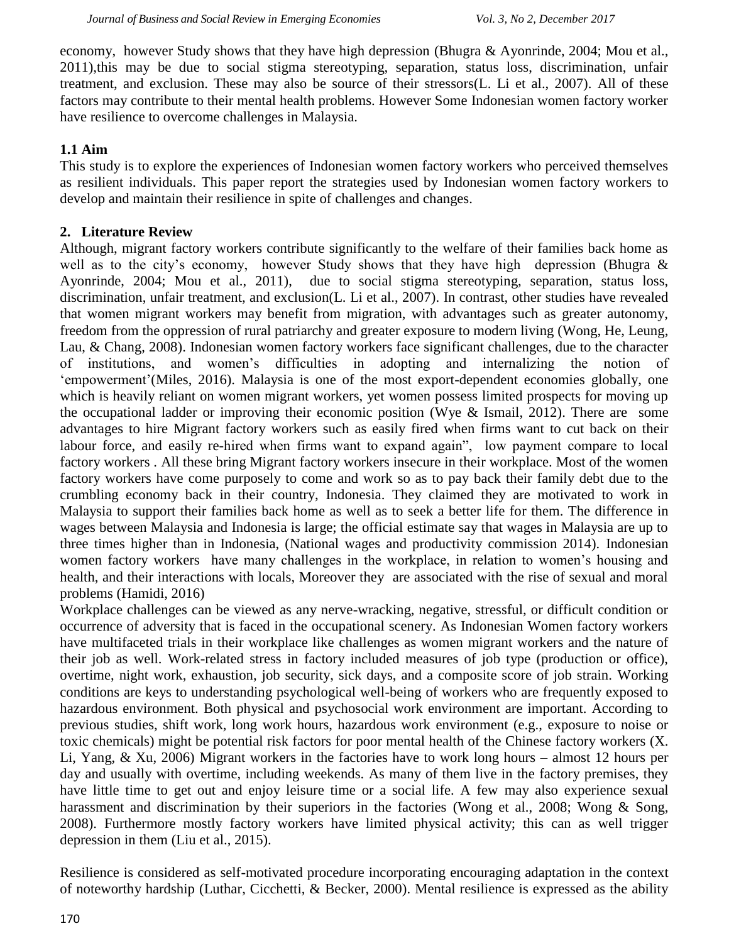economy, however Study shows that they have high depression (Bhugra & Ayonrinde, 2004; Mou et al., 2011),this may be due to social stigma stereotyping, separation, status loss, discrimination, unfair treatment, and exclusion. These may also be source of their stressors(L. Li et al., 2007). All of these factors may contribute to their mental health problems. However Some Indonesian women factory worker have resilience to overcome challenges in Malaysia.

## **1.1 Aim**

This study is to explore the experiences of Indonesian women factory workers who perceived themselves as resilient individuals. This paper report the strategies used by Indonesian women factory workers to develop and maintain their resilience in spite of challenges and changes.

#### **2. Literature Review**

Although, migrant factory workers contribute significantly to the welfare of their families back home as well as to the city's economy, however Study shows that they have high depression (Bhugra & Ayonrinde, 2004; Mou et al., 2011), due to social stigma stereotyping, separation, status loss, discrimination, unfair treatment, and exclusion(L. Li et al., 2007). In contrast, other studies have revealed that women migrant workers may benefit from migration, with advantages such as greater autonomy, freedom from the oppression of rural patriarchy and greater exposure to modern living (Wong, He, Leung, Lau, & Chang, 2008). Indonesian women factory workers face significant challenges, due to the character of institutions, and women's difficulties in adopting and internalizing the notion of ‗empowerment'(Miles, 2016). Malaysia is one of the most export-dependent economies globally, one which is heavily reliant on women migrant workers, yet women possess limited prospects for moving up the occupational ladder or improving their economic position (Wye & Ismail, 2012). There are some advantages to hire Migrant factory workers such as easily fired when firms want to cut back on their labour force, and easily re-hired when firms want to expand again", low payment compare to local factory workers . All these bring Migrant factory workers insecure in their workplace. Most of the women factory workers have come purposely to come and work so as to pay back their family debt due to the crumbling economy back in their country, Indonesia. They claimed they are motivated to work in Malaysia to support their families back home as well as to seek a better life for them. The difference in wages between Malaysia and Indonesia is large; the official estimate say that wages in Malaysia are up to three times higher than in Indonesia, (National wages and productivity commission 2014). Indonesian women factory workers have many challenges in the workplace, in relation to women's housing and health, and their interactions with locals, Moreover they are associated with the rise of sexual and moral problems (Hamidi, 2016)

Workplace challenges can be viewed as any nerve-wracking, negative, stressful, or difficult condition or occurrence of adversity that is faced in the occupational scenery. As Indonesian Women factory workers have multifaceted trials in their workplace like challenges as women migrant workers and the nature of their job as well. Work-related stress in factory included measures of job type (production or office), overtime, night work, exhaustion, job security, sick days, and a composite score of job strain. Working conditions are keys to understanding psychological well-being of workers who are frequently exposed to hazardous environment. Both physical and psychosocial work environment are important. According to previous studies, shift work, long work hours, hazardous work environment (e.g., exposure to noise or toxic chemicals) might be potential risk factors for poor mental health of the Chinese factory workers (X. Li, Yang, & Xu, 2006) Migrant workers in the factories have to work long hours – almost 12 hours per day and usually with overtime, including weekends. As many of them live in the factory premises, they have little time to get out and enjoy leisure time or a social life. A few may also experience sexual harassment and discrimination by their superiors in the factories (Wong et al., 2008; Wong & Song, 2008). Furthermore mostly factory workers have limited physical activity; this can as well trigger depression in them (Liu et al., 2015).

Resilience is considered as self-motivated procedure incorporating encouraging adaptation in the context of noteworthy hardship (Luthar, Cicchetti, & Becker, 2000). Mental resilience is expressed as the ability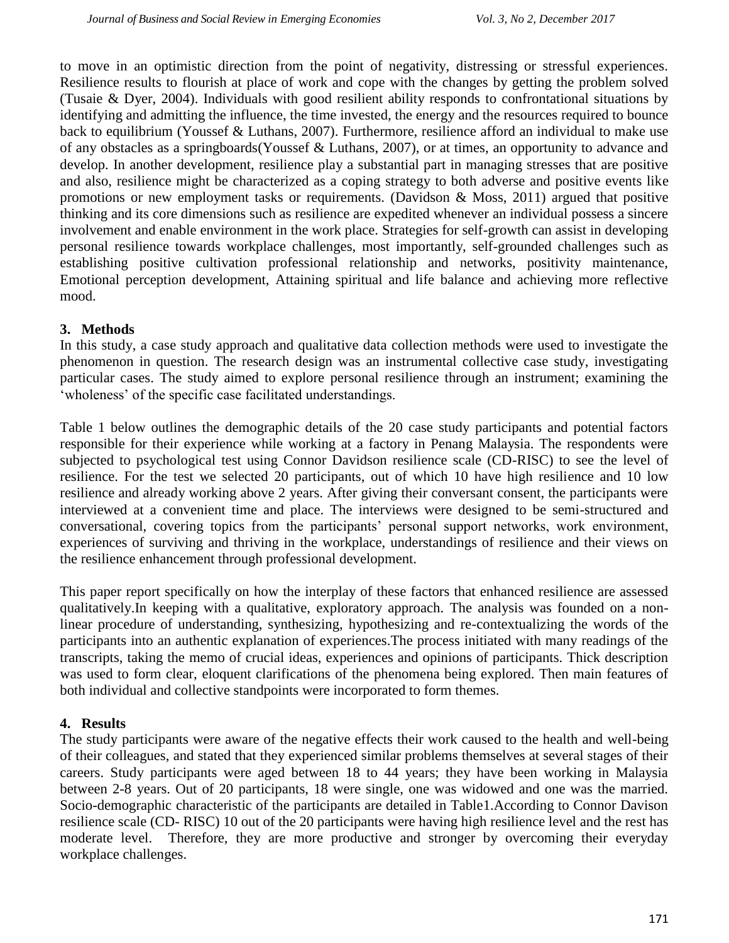to move in an optimistic direction from the point of negativity, distressing or stressful experiences. Resilience results to flourish at place of work and cope with the changes by getting the problem solved (Tusaie & Dyer, 2004). Individuals with good resilient ability responds to confrontational situations by identifying and admitting the influence, the time invested, the energy and the resources required to bounce back to equilibrium (Youssef & Luthans, 2007). Furthermore, resilience afford an individual to make use of any obstacles as a springboards(Youssef & Luthans, 2007), or at times, an opportunity to advance and develop. In another development, resilience play a substantial part in managing stresses that are positive and also, resilience might be characterized as a coping strategy to both adverse and positive events like promotions or new employment tasks or requirements. (Davidson  $\&$  Moss, 2011) argued that positive thinking and its core dimensions such as resilience are expedited whenever an individual possess a sincere involvement and enable environment in the work place. Strategies for self-growth can assist in developing personal resilience towards workplace challenges, most importantly, self-grounded challenges such as establishing positive cultivation professional relationship and networks, positivity maintenance, Emotional perception development, Attaining spiritual and life balance and achieving more reflective mood.

## **3. Methods**

In this study, a case study approach and qualitative data collection methods were used to investigate the phenomenon in question. The research design was an instrumental collective case study, investigating particular cases. The study aimed to explore personal resilience through an instrument; examining the ‗wholeness' of the specific case facilitated understandings.

Table 1 below outlines the demographic details of the 20 case study participants and potential factors responsible for their experience while working at a factory in Penang Malaysia. The respondents were subjected to psychological test using Connor Davidson resilience scale (CD-RISC) to see the level of resilience. For the test we selected 20 participants, out of which 10 have high resilience and 10 low resilience and already working above 2 years. After giving their conversant consent, the participants were interviewed at a convenient time and place. The interviews were designed to be semi-structured and conversational, covering topics from the participants' personal support networks, work environment, experiences of surviving and thriving in the workplace, understandings of resilience and their views on the resilience enhancement through professional development.

This paper report specifically on how the interplay of these factors that enhanced resilience are assessed qualitatively.In keeping with a qualitative, exploratory approach. The analysis was founded on a nonlinear procedure of understanding, synthesizing, hypothesizing and re-contextualizing the words of the participants into an authentic explanation of experiences.The process initiated with many readings of the transcripts, taking the memo of crucial ideas, experiences and opinions of participants. Thick description was used to form clear, eloquent clarifications of the phenomena being explored. Then main features of both individual and collective standpoints were incorporated to form themes.

## **4. Results**

The study participants were aware of the negative effects their work caused to the health and well-being of their colleagues, and stated that they experienced similar problems themselves at several stages of their careers. Study participants were aged between 18 to 44 years; they have been working in Malaysia between 2-8 years. Out of 20 participants, 18 were single, one was widowed and one was the married. Socio-demographic characteristic of the participants are detailed in Table1.According to Connor Davison resilience scale (CD- RISC) 10 out of the 20 participants were having high resilience level and the rest has moderate level. Therefore, they are more productive and stronger by overcoming their everyday workplace challenges.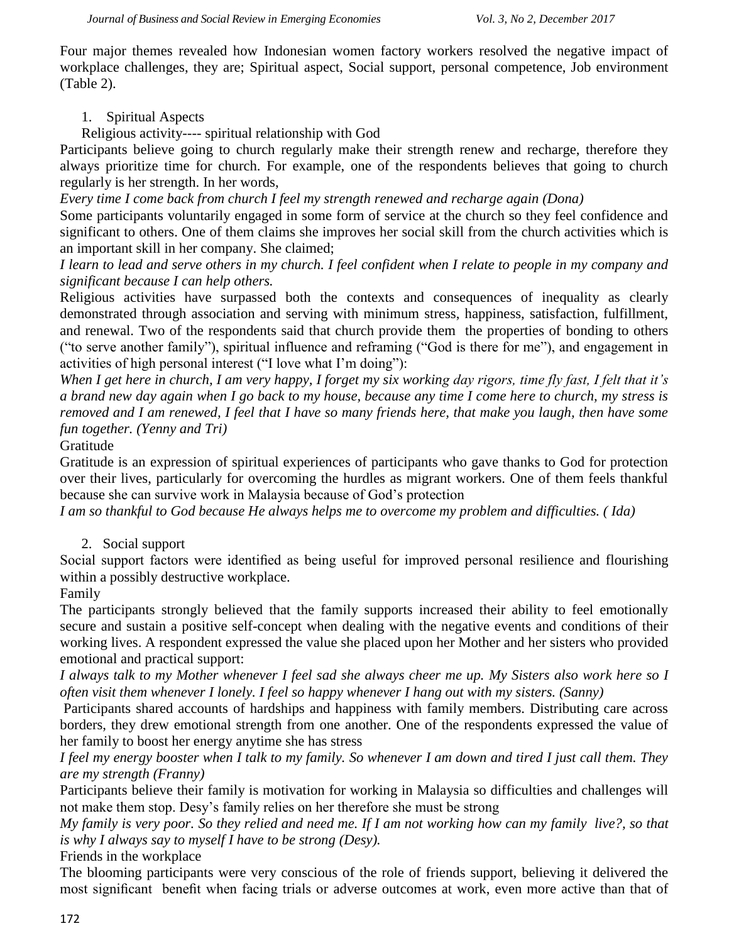Four major themes revealed how Indonesian women factory workers resolved the negative impact of workplace challenges, they are; Spiritual aspect, Social support, personal competence, Job environment (Table 2).

## 1. Spiritual Aspects

Religious activity---- spiritual relationship with God

Participants believe going to church regularly make their strength renew and recharge, therefore they always prioritize time for church. For example, one of the respondents believes that going to church regularly is her strength. In her words,

*Every time I come back from church I feel my strength renewed and recharge again (Dona)*

Some participants voluntarily engaged in some form of service at the church so they feel confidence and significant to others. One of them claims she improves her social skill from the church activities which is an important skill in her company. She claimed;

*I learn to lead and serve others in my church. I feel confident when I relate to people in my company and significant because I can help others.*

Religious activities have surpassed both the contexts and consequences of inequality as clearly demonstrated through association and serving with minimum stress, happiness, satisfaction, fulfillment, and renewal. Two of the respondents said that church provide them the properties of bonding to others ("to serve another family"), spiritual influence and reframing ("God is there for me"), and engagement in activities of high personal interest ("I love what I'm doing"):

*When I get here in church, I am very happy, I forget my six working day rigors, time fly fast, I felt that it's a brand new day again when I go back to my house, because any time I come here to church, my stress is removed and I am renewed, I feel that I have so many friends here, that make you laugh, then have some fun together. (Yenny and Tri)*

Gratitude

Gratitude is an expression of spiritual experiences of participants who gave thanks to God for protection over their lives, particularly for overcoming the hurdles as migrant workers. One of them feels thankful because she can survive work in Malaysia because of God's protection

*I am so thankful to God because He always helps me to overcome my problem and difficulties. ( Ida)* 

2. Social support

Social support factors were identified as being useful for improved personal resilience and flourishing within a possibly destructive workplace.

Family

The participants strongly believed that the family supports increased their ability to feel emotionally secure and sustain a positive self-concept when dealing with the negative events and conditions of their working lives. A respondent expressed the value she placed upon her Mother and her sisters who provided emotional and practical support:

*I always talk to my Mother whenever I feel sad she always cheer me up. My Sisters also work here so I often visit them whenever I lonely. I feel so happy whenever I hang out with my sisters. (Sanny)*

Participants shared accounts of hardships and happiness with family members. Distributing care across borders, they drew emotional strength from one another. One of the respondents expressed the value of her family to boost her energy anytime she has stress

*I feel my energy booster when I talk to my family. So whenever I am down and tired I just call them. They are my strength (Franny)*

Participants believe their family is motivation for working in Malaysia so difficulties and challenges will not make them stop. Desy's family relies on her therefore she must be strong

*My family is very poor. So they relied and need me. If I am not working how can my family live?, so that is why I always say to myself I have to be strong (Desy).*

Friends in the workplace

The blooming participants were very conscious of the role of friends support, believing it delivered the most significant benefit when facing trials or adverse outcomes at work, even more active than that of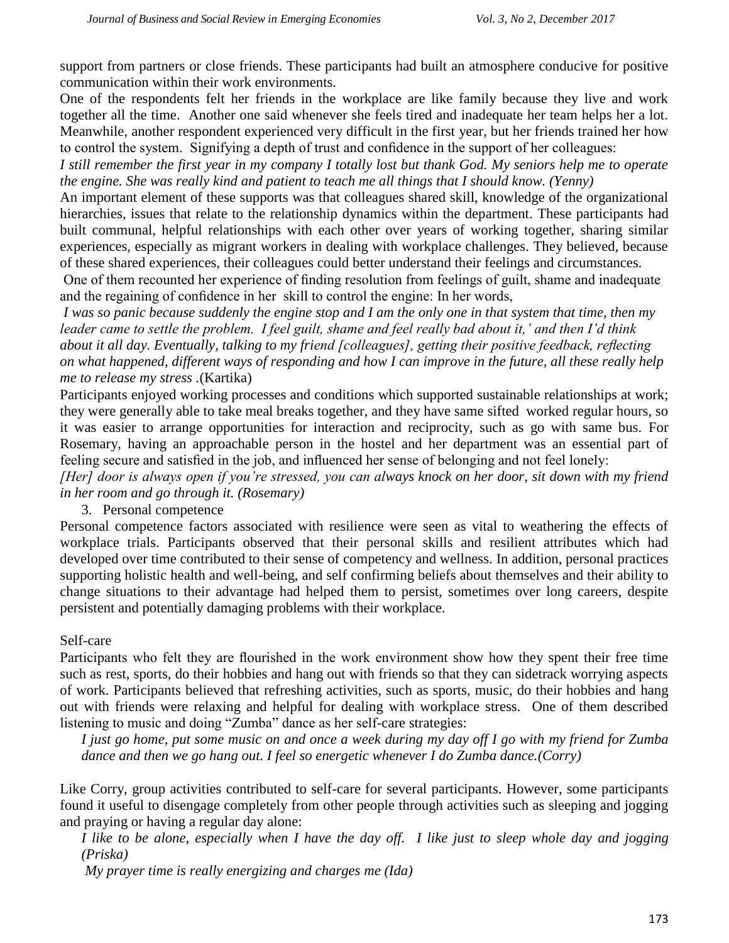support from partners or close friends. These participants had built an atmosphere conducive for positive communication within their work environments.

One of the respondents felt her friends in the workplace are like family because they live and work together all the time. Another one said whenever she feels tired and inadequate her team helps her a lot. Meanwhile, another respondent experienced very difficult in the first year, but her friends trained her how to control the system. Signifying a depth of trust and confidence in the support of her colleagues:

*I still remember the first year in my company I totally lost but thank God. My seniors help me to operate the engine. She was really kind and patient to teach me all things that I should know. (Yenny)*

An important element of these supports was that colleagues shared skill, knowledge of the organizational hierarchies, issues that relate to the relationship dynamics within the department. These participants had built communal, helpful relationships with each other over years of working together, sharing similar experiences, especially as migrant workers in dealing with workplace challenges. They believed, because of these shared experiences, their colleagues could better understand their feelings and circumstances.

One of them recounted her experience of finding resolution from feelings of guilt, shame and inadequate and the regaining of confidence in her skill to control the engine: In her words,

*I was so panic because suddenly the engine stop and I am the only one in that system that time, then my leader came to settle the problem. I feel guilt, shame and feel really bad about it,' and then I'd think about it all day. Eventually, talking to my friend [colleagues], getting their positive feedback, reflecting on what happened, different ways of responding and how I can improve in the future, all these really help me to release my stress .*(Kartika)

Participants enjoyed working processes and conditions which supported sustainable relationships at work; they were generally able to take meal breaks together, and they have same sifted worked regular hours, so it was easier to arrange opportunities for interaction and reciprocity, such as go with same bus. For Rosemary, having an approachable person in the hostel and her department was an essential part of feeling secure and satisfied in the job, and influenced her sense of belonging and not feel lonely:

*[Her] door is always open if you're stressed, you can always knock on her door, sit down with my friend in her room and go through it. (Rosemary)*

#### 3. Personal competence

Personal competence factors associated with resilience were seen as vital to weathering the effects of workplace trials. Participants observed that their personal skills and resilient attributes which had developed over time contributed to their sense of competency and wellness. In addition, personal practices supporting holistic health and well-being, and self confirming beliefs about themselves and their ability to change situations to their advantage had helped them to persist, sometimes over long careers, despite persistent and potentially damaging problems with their workplace.

#### Self-care

Participants who felt they are flourished in the work environment show how they spent their free time such as rest, sports, do their hobbies and hang out with friends so that they can sidetrack worrying aspects of work. Participants believed that refreshing activities, such as sports, music, do their hobbies and hang out with friends were relaxing and helpful for dealing with workplace stress. One of them described listening to music and doing "Zumba" dance as her self-care strategies:

*I just go home, put some music on and once a week during my day off I go with my friend for Zumba dance and then we go hang out. I feel so energetic whenever I do Zumba dance.(Corry)*

Like Corry, group activities contributed to self-care for several participants. However, some participants found it useful to disengage completely from other people through activities such as sleeping and jogging and praying or having a regular day alone:

*I like to be alone, especially when I have the day off. I like just to sleep whole day and jogging (Priska)*

*My prayer time is really energizing and charges me (Ida)*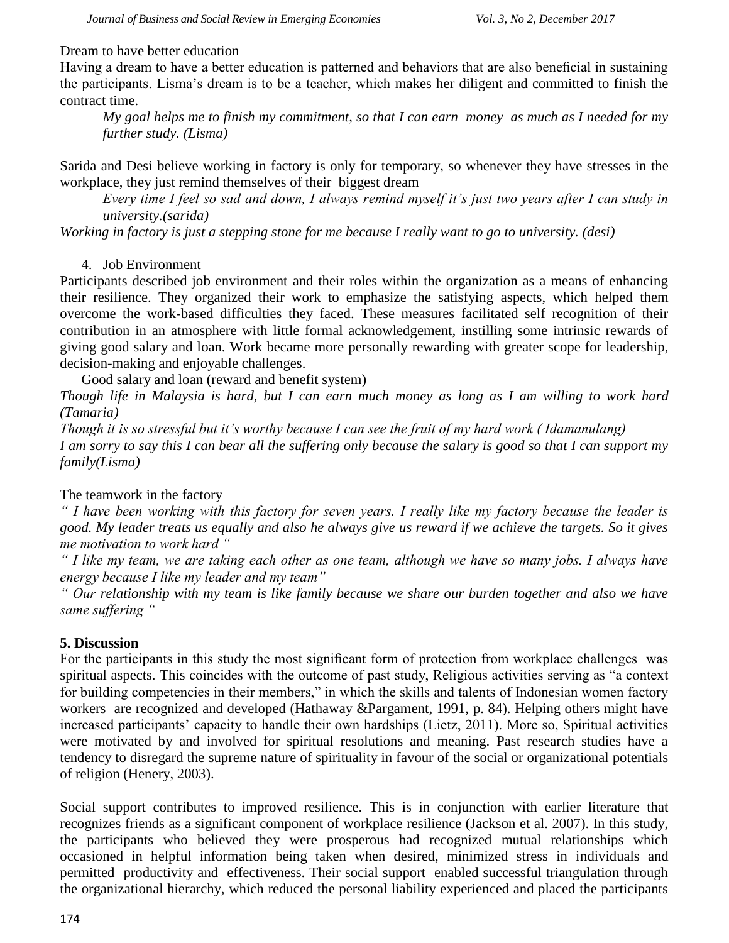#### Dream to have better education

Having a dream to have a better education is patterned and behaviors that are also beneficial in sustaining the participants. Lisma's dream is to be a teacher, which makes her diligent and committed to finish the contract time.

*My goal helps me to finish my commitment, so that I can earn money as much as I needed for my further study. (Lisma)*

Sarida and Desi believe working in factory is only for temporary, so whenever they have stresses in the workplace, they just remind themselves of their biggest dream

*Every time I feel so sad and down, I always remind myself it's just two years after I can study in university.(sarida)*

*Working in factory is just a stepping stone for me because I really want to go to university. (desi)*

## 4. Job Environment

Participants described job environment and their roles within the organization as a means of enhancing their resilience. They organized their work to emphasize the satisfying aspects, which helped them overcome the work-based difficulties they faced. These measures facilitated self recognition of their contribution in an atmosphere with little formal acknowledgement, instilling some intrinsic rewards of giving good salary and loan. Work became more personally rewarding with greater scope for leadership, decision-making and enjoyable challenges.

Good salary and loan (reward and benefit system)

*Though life in Malaysia is hard, but I can earn much money as long as I am willing to work hard (Tamaria)*

*Though it is so stressful but it's worthy because I can see the fruit of my hard work ( Idamanulang) I am sorry to say this I can bear all the suffering only because the salary is good so that I can support my family(Lisma)*

## The teamwork in the factory

*" I have been working with this factory for seven years. I really like my factory because the leader is good. My leader treats us equally and also he always give us reward if we achieve the targets. So it gives me motivation to work hard "*

*" I like my team, we are taking each other as one team, although we have so many jobs. I always have energy because I like my leader and my team"*

*" Our relationship with my team is like family because we share our burden together and also we have same suffering "*

#### **5. Discussion**

For the participants in this study the most significant form of protection from workplace challenges was spiritual aspects. This coincides with the outcome of past study, Religious activities serving as "a context" for building competencies in their members," in which the skills and talents of Indonesian women factory workers are recognized and developed (Hathaway &Pargament, 1991, p. 84). Helping others might have increased participants' capacity to handle their own hardships (Lietz, 2011). More so, Spiritual activities were motivated by and involved for spiritual resolutions and meaning. Past research studies have a tendency to disregard the supreme nature of spirituality in favour of the social or organizational potentials of religion (Henery, 2003).

Social support contributes to improved resilience. This is in conjunction with earlier literature that recognizes friends as a significant component of workplace resilience (Jackson et al. 2007). In this study, the participants who believed they were prosperous had recognized mutual relationships which occasioned in helpful information being taken when desired, minimized stress in individuals and permitted productivity and effectiveness. Their social support enabled successful triangulation through the organizational hierarchy, which reduced the personal liability experienced and placed the participants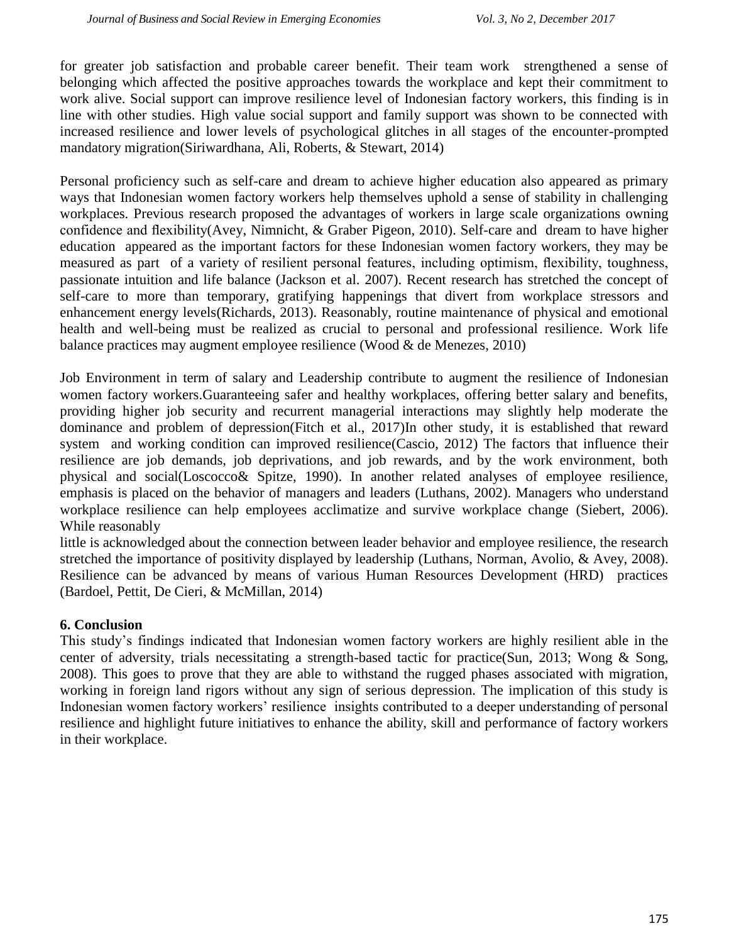for greater job satisfaction and probable career benefit. Their team work strengthened a sense of belonging which affected the positive approaches towards the workplace and kept their commitment to work alive. Social support can improve resilience level of Indonesian factory workers, this finding is in line with other studies. High value social support and family support was shown to be connected with increased resilience and lower levels of psychological glitches in all stages of the encounter-prompted mandatory migration(Siriwardhana, Ali, Roberts, & Stewart, 2014)

Personal proficiency such as self-care and dream to achieve higher education also appeared as primary ways that Indonesian women factory workers help themselves uphold a sense of stability in challenging workplaces. Previous research proposed the advantages of workers in large scale organizations owning confidence and flexibility(Avey, Nimnicht, & Graber Pigeon, 2010). Self-care and dream to have higher education appeared as the important factors for these Indonesian women factory workers, they may be measured as part of a variety of resilient personal features, including optimism, flexibility, toughness, passionate intuition and life balance (Jackson et al. 2007). Recent research has stretched the concept of self-care to more than temporary, gratifying happenings that divert from workplace stressors and enhancement energy levels(Richards, 2013). Reasonably, routine maintenance of physical and emotional health and well-being must be realized as crucial to personal and professional resilience. Work life balance practices may augment employee resilience (Wood & de Menezes, 2010)

Job Environment in term of salary and Leadership contribute to augment the resilience of Indonesian women factory workers.Guaranteeing safer and healthy workplaces, offering better salary and benefits, providing higher job security and recurrent managerial interactions may slightly help moderate the dominance and problem of depression(Fitch et al., 2017)In other study, it is established that reward system and working condition can improved resilience(Cascio, 2012) The factors that influence their resilience are job demands, job deprivations, and job rewards, and by the work environment, both physical and social(Loscocco& Spitze, 1990). In another related analyses of employee resilience, emphasis is placed on the behavior of managers and leaders (Luthans, 2002). Managers who understand workplace resilience can help employees acclimatize and survive workplace change (Siebert, 2006). While reasonably

little is acknowledged about the connection between leader behavior and employee resilience, the research stretched the importance of positivity displayed by leadership (Luthans, Norman, Avolio, & Avey, 2008). Resilience can be advanced by means of various Human Resources Development (HRD) practices (Bardoel, Pettit, De Cieri, & McMillan, 2014)

## **6. Conclusion**

This study's findings indicated that Indonesian women factory workers are highly resilient able in the center of adversity, trials necessitating a strength-based tactic for practice(Sun, 2013; Wong & Song, 2008). This goes to prove that they are able to withstand the rugged phases associated with migration, working in foreign land rigors without any sign of serious depression. The implication of this study is Indonesian women factory workers' resilience insights contributed to a deeper understanding of personal resilience and highlight future initiatives to enhance the ability, skill and performance of factory workers in their workplace.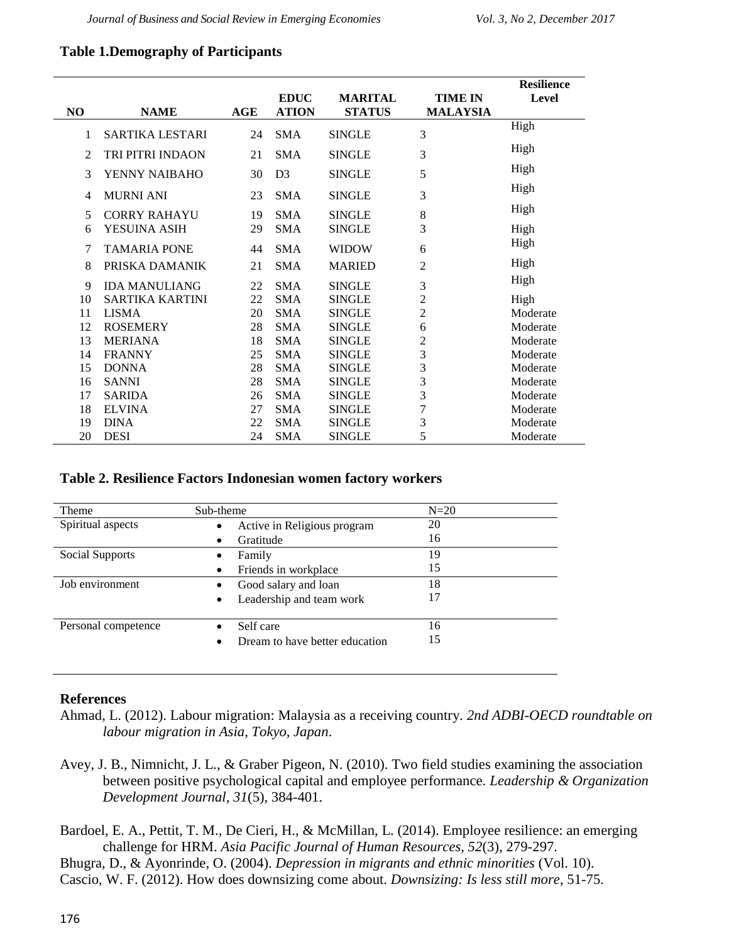## **Table 1.Demography of Participants**

|    |                        |            |                |                |                | <b>Resilience</b> |
|----|------------------------|------------|----------------|----------------|----------------|-------------------|
|    |                        |            | <b>EDUC</b>    | <b>MARITAL</b> | <b>TIME IN</b> | Level             |
| NO | <b>NAME</b>            | <b>AGE</b> | <b>ATION</b>   | <b>STATUS</b>  | MALAYSIA       |                   |
| 1  | SARTIKA LESTARI        | 24         | <b>SMA</b>     | <b>SINGLE</b>  | 3              | High              |
| 2  | TRI PITRI INDAON       | 21         | <b>SMA</b>     | <b>SINGLE</b>  | 3              | High              |
| 3  | YENNY NAIBAHO          | 30         | D <sub>3</sub> | <b>SINGLE</b>  | 5              | High              |
| 4  | <b>MURNI ANI</b>       | 23         | <b>SMA</b>     | <b>SINGLE</b>  | 3              | High              |
| 5  | <b>CORRY RAHAYU</b>    | 19         | <b>SMA</b>     | <b>SINGLE</b>  | 8              | High              |
| 6  | YESUINA ASIH           | 29         | <b>SMA</b>     | <b>SINGLE</b>  | 3              | High              |
| 7  | <b>TAMARIA PONE</b>    | 44         | <b>SMA</b>     | <b>WIDOW</b>   | 6              | High              |
| 8  | PRISKA DAMANIK         | 21         | <b>SMA</b>     | <b>MARIED</b>  | 2              | High              |
| 9  | <b>IDA MANULIANG</b>   | 22         | <b>SMA</b>     | <b>SINGLE</b>  | 3              | High              |
| 10 | <b>SARTIKA KARTINI</b> | 22         | <b>SMA</b>     | <b>SINGLE</b>  | 2              | High              |
| 11 | <b>LISMA</b>           | 20         | <b>SMA</b>     | <b>SINGLE</b>  | $\sqrt{2}$     | Moderate          |
| 12 | <b>ROSEMERY</b>        | 28         | <b>SMA</b>     | <b>SINGLE</b>  | 6              | Moderate          |
| 13 | <b>MERIANA</b>         | 18         | <b>SMA</b>     | <b>SINGLE</b>  | 2              | Moderate          |
| 14 | <b>FRANNY</b>          | 25         | SMA            | <b>SINGLE</b>  | 3              | Moderate          |
| 15 | <b>DONNA</b>           | 28         | <b>SMA</b>     | <b>SINGLE</b>  | 3              | Moderate          |
| 16 | <b>SANNI</b>           | 28         | <b>SMA</b>     | <b>SINGLE</b>  | 3              | Moderate          |
| 17 | <b>SARIDA</b>          | 26         | <b>SMA</b>     | <b>SINGLE</b>  | 3              | Moderate          |
| 18 | <b>ELVINA</b>          | 27         | <b>SMA</b>     | <b>SINGLE</b>  | 7              | Moderate          |
| 19 | <b>DINA</b>            | 22         | SMA            | <b>SINGLE</b>  | 3              | Moderate          |
| 20 | <b>DESI</b>            | 24         | <b>SMA</b>     | <b>SINGLE</b>  | 5              | Moderate          |

#### **Table 2. Resilience Factors Indonesian women factory workers**

| Theme               | Sub-theme                                   | $N=20$ |
|---------------------|---------------------------------------------|--------|
| Spiritual aspects   | Active in Religious program<br>$\bullet$    | 20     |
|                     | Gratitude<br>$\bullet$                      | 16     |
| Social Supports     | Family<br>٠                                 | 19     |
|                     | Friends in workplace                        | 15     |
| Job environment     | Good salary and loan                        | 18     |
|                     | Leadership and team work<br>$\bullet$       | 17     |
|                     |                                             |        |
| Personal competence | Self care                                   | 16     |
|                     | Dream to have better education<br>$\bullet$ | 15     |
|                     |                                             |        |

#### **References**

- Ahmad, L. (2012). Labour migration: Malaysia as a receiving country. *2nd ADBI-OECD roundtable on labour migration in Asia, Tokyo, Japan*.
- Avey, J. B., Nimnicht, J. L., & Graber Pigeon, N. (2010). Two field studies examining the association between positive psychological capital and employee performance. *Leadership & Organization Development Journal, 31*(5), 384-401.
- Bardoel, E. A., Pettit, T. M., De Cieri, H., & McMillan, L. (2014). Employee resilience: an emerging challenge for HRM. *Asia Pacific Journal of Human Resources, 52*(3), 279-297.
- Bhugra, D., & Ayonrinde, O. (2004). *Depression in migrants and ethnic minorities* (Vol. 10). Cascio, W. F. (2012). How does downsizing come about. *Downsizing: Is less still more*, 51-75.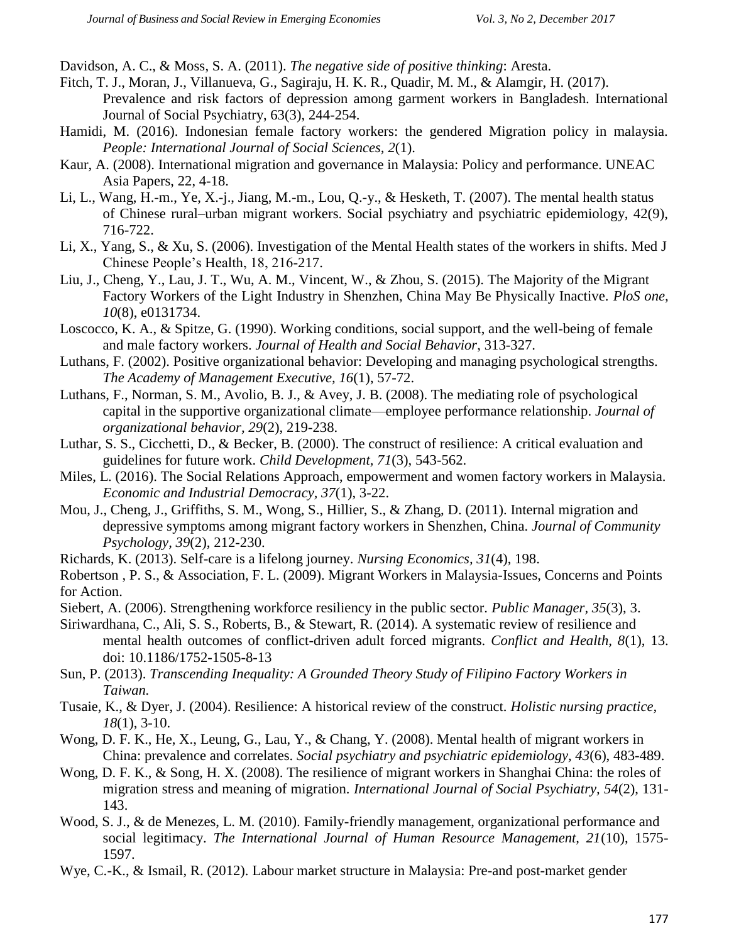Davidson, A. C., & Moss, S. A. (2011). *The negative side of positive thinking*: Aresta.

- Fitch, T. J., Moran, J., Villanueva, G., Sagiraju, H. K. R., Quadir, M. M., & Alamgir, H. (2017). Prevalence and risk factors of depression among garment workers in Bangladesh. International Journal of Social Psychiatry, 63(3), 244-254.
- Hamidi, M. (2016). Indonesian female factory workers: the gendered Migration policy in malaysia. *People: International Journal of Social Sciences, 2*(1).
- Kaur, A. (2008). International migration and governance in Malaysia: Policy and performance. UNEAC Asia Papers, 22, 4-18.
- Li, L., Wang, H.-m., Ye, X.-j., Jiang, M.-m., Lou, Q.-y., & Hesketh, T. (2007). The mental health status of Chinese rural–urban migrant workers. Social psychiatry and psychiatric epidemiology, 42(9), 716-722.
- Li, X., Yang, S., & Xu, S. (2006). Investigation of the Mental Health states of the workers in shifts. Med J Chinese People's Health, 18, 216-217.
- Liu, J., Cheng, Y., Lau, J. T., Wu, A. M., Vincent, W., & Zhou, S. (2015). The Majority of the Migrant Factory Workers of the Light Industry in Shenzhen, China May Be Physically Inactive. *PloS one, 10*(8), e0131734.
- Loscocco, K. A., & Spitze, G. (1990). Working conditions, social support, and the well-being of female and male factory workers. *Journal of Health and Social Behavior*, 313-327.
- Luthans, F. (2002). Positive organizational behavior: Developing and managing psychological strengths. *The Academy of Management Executive, 16*(1), 57-72.
- Luthans, F., Norman, S. M., Avolio, B. J., & Avey, J. B. (2008). The mediating role of psychological capital in the supportive organizational climate—employee performance relationship. *Journal of organizational behavior, 29*(2), 219-238.
- Luthar, S. S., Cicchetti, D., & Becker, B. (2000). The construct of resilience: A critical evaluation and guidelines for future work. *Child Development, 71*(3), 543-562.
- Miles, L. (2016). The Social Relations Approach, empowerment and women factory workers in Malaysia. *Economic and Industrial Democracy, 37*(1), 3-22.
- Mou, J., Cheng, J., Griffiths, S. M., Wong, S., Hillier, S., & Zhang, D. (2011). Internal migration and depressive symptoms among migrant factory workers in Shenzhen, China. *Journal of Community Psychology, 39*(2), 212-230.
- Richards, K. (2013). Self-care is a lifelong journey. *Nursing Economics, 31*(4), 198.
- Robertson , P. S., & Association, F. L. (2009). Migrant Workers in Malaysia-Issues, Concerns and Points for Action.
- Siebert, A. (2006). Strengthening workforce resiliency in the public sector. *Public Manager, 35*(3), 3.
- Siriwardhana, C., Ali, S. S., Roberts, B., & Stewart, R. (2014). A systematic review of resilience and mental health outcomes of conflict-driven adult forced migrants. *Conflict and Health, 8*(1), 13. doi: 10.1186/1752-1505-8-13
- Sun, P. (2013). *Transcending Inequality: A Grounded Theory Study of Filipino Factory Workers in Taiwan.*
- Tusaie, K., & Dyer, J. (2004). Resilience: A historical review of the construct. *Holistic nursing practice, 18*(1), 3-10.
- Wong, D. F. K., He, X., Leung, G., Lau, Y., & Chang, Y. (2008). Mental health of migrant workers in China: prevalence and correlates. *Social psychiatry and psychiatric epidemiology, 43*(6), 483-489.
- Wong, D. F. K., & Song, H. X. (2008). The resilience of migrant workers in Shanghai China: the roles of migration stress and meaning of migration. *International Journal of Social Psychiatry, 54*(2), 131- 143.
- Wood, S. J., & de Menezes, L. M. (2010). Family-friendly management, organizational performance and social legitimacy. *The International Journal of Human Resource Management, 21*(10), 1575- 1597.
- Wye, C.-K., & Ismail, R. (2012). Labour market structure in Malaysia: Pre-and post-market gender